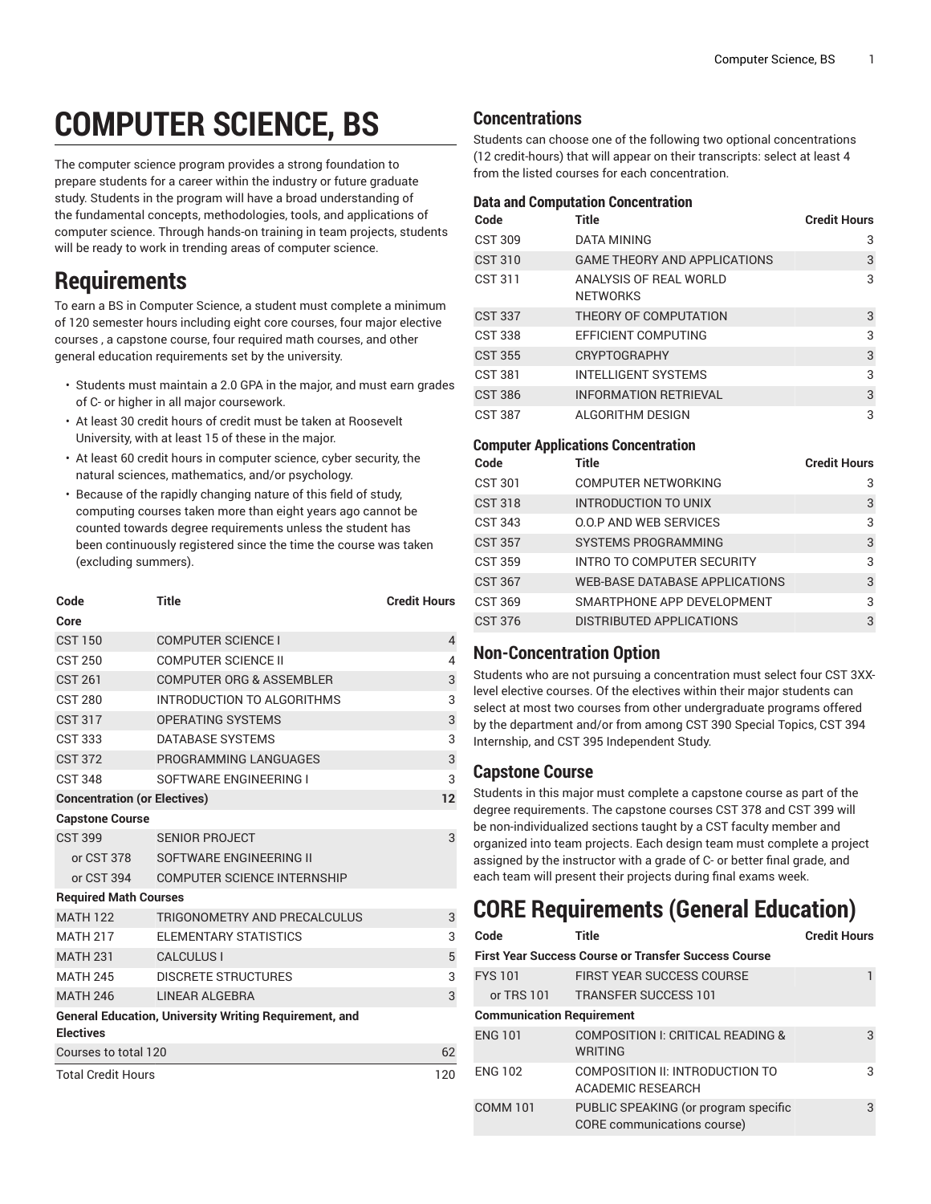# **COMPUTER SCIENCE, BS**

The computer science program provides a strong foundation to prepare students for a career within the industry or future graduate study. Students in the program will have a broad understanding of the fundamental concepts, methodologies, tools, and applications of computer science. Through hands-on training in team projects, students will be ready to work in trending areas of computer science.

# **Requirements**

To earn a BS in Computer Science, a student must complete a minimum of 120 semester hours including eight core courses, four major elective courses , a capstone course, four required math courses, and other general education requirements set by the university.

- Students must maintain a 2.0 GPA in the major, and must earn grades of C- or higher in all major coursework.
- At least 30 credit hours of credit must be taken at Roosevelt University, with at least 15 of these in the major.
- At least 60 credit hours in computer science, cyber security, the natural sciences, mathematics, and/or psychology.
- Because of the rapidly changing nature of this field of study, computing courses taken more than eight years ago cannot be counted towards degree requirements unless the student has been continuously registered since the time the course was taken (excluding summers).

| Code                                | <b>Title</b>                                                  | <b>Credit Hours</b> |
|-------------------------------------|---------------------------------------------------------------|---------------------|
| Core                                |                                                               |                     |
| <b>CST 150</b>                      | <b>COMPUTER SCIENCE I</b>                                     | 4                   |
| <b>CST 250</b>                      | COMPUTER SCIENCE II                                           | 4                   |
| <b>CST 261</b>                      | <b>COMPUTER ORG &amp; ASSEMBLER</b>                           | 3                   |
| <b>CST 280</b>                      | INTRODUCTION TO ALGORITHMS                                    | 3                   |
| <b>CST 317</b>                      | <b>OPERATING SYSTEMS</b>                                      | 3                   |
| <b>CST 333</b>                      | DATABASE SYSTEMS                                              | 3                   |
| <b>CST 372</b>                      | PROGRAMMING LANGUAGES                                         | 3                   |
| <b>CST 348</b>                      | SOFTWARE ENGINEERING I                                        | 3                   |
| <b>Concentration (or Electives)</b> |                                                               | 12                  |
| <b>Capstone Course</b>              |                                                               |                     |
| <b>CST 399</b>                      | <b>SENIOR PROJECT</b>                                         | 3                   |
|                                     | or CST 378 SOFTWARE ENGINEERING II                            |                     |
| or CST 394                          | <b>COMPUTER SCIENCE INTERNSHIP</b>                            |                     |
| <b>Required Math Courses</b>        |                                                               |                     |
| <b>MATH 122</b>                     | TRIGONOMETRY AND PRECALCULUS                                  | 3                   |
| <b>MATH 217</b>                     | <b>ELEMENTARY STATISTICS</b>                                  | 3                   |
| <b>MATH 231</b>                     | <b>CALCULUS I</b>                                             | 5                   |
| <b>MATH 245</b>                     | <b>DISCRETE STRUCTURES</b>                                    | 3                   |
| <b>MATH 246</b>                     | LINEAR ALGEBRA                                                | 3                   |
| <b>Electives</b>                    | <b>General Education, University Writing Requirement, and</b> |                     |
| Courses to total 120                |                                                               | 62                  |
| <b>Total Credit Hours</b>           |                                                               | 120                 |

# **Concentrations**

Students can choose one of the following two optional concentrations (12 credit-hours) that will appear on their transcripts: select at least 4 from the listed courses for each concentration.

#### **Data and Computation Concentration**

| Code           | <b>Title</b>                              | <b>Credit Hours</b> |
|----------------|-------------------------------------------|---------------------|
| <b>CST 309</b> | DATA MINING                               | 3                   |
| CST 310        | <b>GAME THEORY AND APPLICATIONS</b>       | 3                   |
| CST 311        | ANALYSIS OF REAL WORLD<br><b>NETWORKS</b> | 3                   |
| <b>CST 337</b> | THEORY OF COMPUTATION                     | 3                   |
| <b>CST 338</b> | EFFICIENT COMPUTING                       | 3                   |
| <b>CST 355</b> | <b>CRYPTOGRAPHY</b>                       | 3                   |
| CST 381        | <b>INTELLIGENT SYSTEMS</b>                | 3                   |
| <b>CST 386</b> | <b>INFORMATION RETRIEVAL</b>              | 3                   |
| <b>CST 387</b> | ALGORITHM DESIGN                          | 3                   |

### **Computer Applications Concentration**

| Code           | Title                                 | <b>Credit Hours</b> |
|----------------|---------------------------------------|---------------------|
| CST 301        | <b>COMPUTER NETWORKING</b>            | 3                   |
| CST 318        | <b>INTRODUCTION TO UNIX</b>           | 3                   |
| CST 343        | <b>0.0.P AND WEB SERVICES</b>         | 3                   |
| CST 357        | <b>SYSTEMS PROGRAMMING</b>            | 3                   |
| CST 359        | INTRO TO COMPUTER SECURITY            | 3                   |
| <b>CST 367</b> | <b>WEB-BASE DATABASE APPLICATIONS</b> | 3                   |
| CST 369        | SMARTPHONE APP DEVELOPMENT            | 3                   |
| CST 376        | DISTRIBUTED APPLICATIONS              | 3                   |

## **Non-Concentration Option**

Students who are not pursuing a concentration must select four CST 3XXlevel elective courses. Of the electives within their major students can select at most two courses from other undergraduate programs offered by the department and/or from among CST 390 Special Topics, CST 394 Internship, and CST 395 Independent Study.

## **Capstone Course**

Students in this major must complete a capstone course as part of the degree requirements. The capstone courses CST 378 and CST 399 will be non-individualized sections taught by a CST faculty member and organized into team projects. Each design team must complete a project assigned by the instructor with a grade of C- or better final grade, and each team will present their projects during final exams week.

# **CORE Requirements (General Education)**

| Code                             | Title                                                               | <b>Credit Hours</b> |
|----------------------------------|---------------------------------------------------------------------|---------------------|
|                                  | <b>First Year Success Course or Transfer Success Course</b>         |                     |
| <b>FYS101</b>                    | <b>FIRST YEAR SUCCESS COURSE</b>                                    |                     |
| or TRS 101                       | <b>TRANSFER SUCCESS 101</b>                                         |                     |
| <b>Communication Requirement</b> |                                                                     |                     |
| <b>ENG 101</b>                   | COMPOSITION I: CRITICAL READING &<br><b>WRITING</b>                 | 3                   |
| <b>ENG 102</b>                   | COMPOSITION II: INTRODUCTION TO<br><b>ACADEMIC RESEARCH</b>         | 3                   |
| <b>COMM 101</b>                  | PUBLIC SPEAKING (or program specific<br>CORE communications course) | 3                   |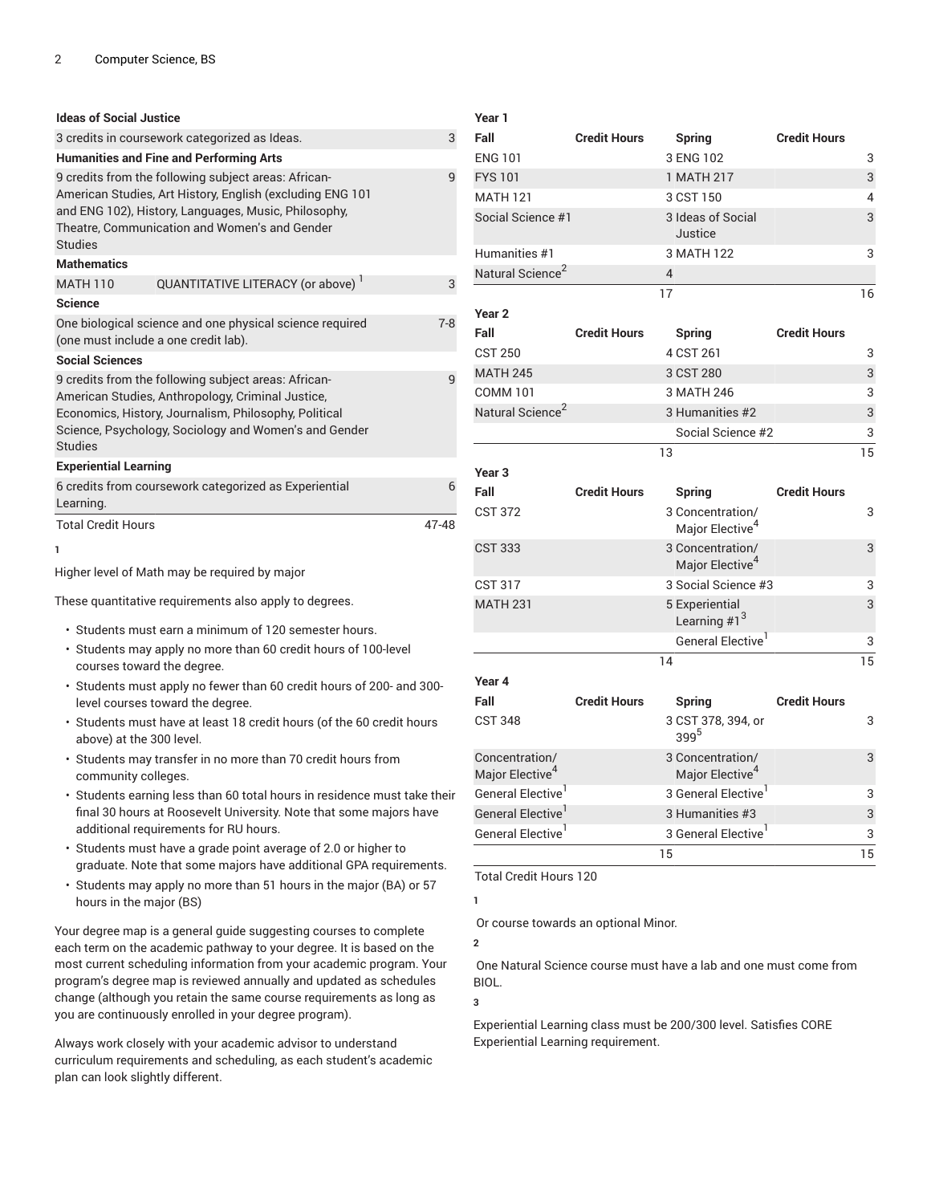| <b>Ideas of Social Justice</b> |                                                                                                                                                                                                                             |         |
|--------------------------------|-----------------------------------------------------------------------------------------------------------------------------------------------------------------------------------------------------------------------------|---------|
|                                | 3 credits in coursework categorized as Ideas.                                                                                                                                                                               | 3       |
|                                | <b>Humanities and Fine and Performing Arts</b>                                                                                                                                                                              |         |
| <b>Studies</b>                 | 9 credits from the following subject areas: African-<br>American Studies, Art History, English (excluding ENG 101<br>and ENG 102), History, Languages, Music, Philosophy,<br>Theatre, Communication and Women's and Gender  | q       |
| <b>Mathematics</b>             |                                                                                                                                                                                                                             |         |
| <b>MATH 110</b>                | QUANTITATIVE LITERACY (or above)                                                                                                                                                                                            | 3       |
| <b>Science</b>                 |                                                                                                                                                                                                                             |         |
|                                | One biological science and one physical science required<br>(one must include a one credit lab).                                                                                                                            | $7 - 8$ |
| <b>Social Sciences</b>         |                                                                                                                                                                                                                             |         |
| <b>Studies</b>                 | 9 credits from the following subject areas: African-<br>American Studies, Anthropology, Criminal Justice,<br>Economics, History, Journalism, Philosophy, Political<br>Science, Psychology, Sociology and Women's and Gender | q       |
| <b>Experiential Learning</b>   |                                                                                                                                                                                                                             |         |
| Learning.                      | 6 credits from coursework categorized as Experiential                                                                                                                                                                       | 6       |
| <b>Total Credit Hours</b>      |                                                                                                                                                                                                                             | 47-48   |
| Ъ.                             |                                                                                                                                                                                                                             |         |

**1**

Higher level of Math may be required by major

These quantitative requirements also apply to degrees.

- Students must earn a minimum of 120 semester hours.
- Students may apply no more than 60 credit hours of 100-level courses toward the degree.
- Students must apply no fewer than 60 credit hours of 200- and 300 level courses toward the degree.
- Students must have at least 18 credit hours (of the 60 credit hours above) at the 300 level.
- Students may transfer in no more than 70 credit hours from community colleges.
- Students earning less than 60 total hours in residence must take their final 30 hours at Roosevelt University. Note that some majors have additional requirements for RU hours.
- Students must have a grade point average of 2.0 or higher to graduate. Note that some majors have additional GPA requirements.
- Students may apply no more than 51 hours in the major (BA) or 57 hours in the major (BS)

Your degree map is a general guide suggesting courses to complete each term on the academic pathway to your degree. It is based on the most current scheduling information from your academic program. Your program's degree map is reviewed annually and updated as schedules change (although you retain the same course requirements as long as you are continuously enrolled in your degree program).

Always work closely with your academic advisor to understand curriculum requirements and scheduling, as each student's academic plan can look slightly different.

| Year 1                        |                     |                                                 |                     |    |
|-------------------------------|---------------------|-------------------------------------------------|---------------------|----|
| Fall                          | <b>Credit Hours</b> | <b>Spring</b>                                   | <b>Credit Hours</b> |    |
| <b>ENG 101</b>                |                     | 3 ENG 102                                       |                     | 3  |
| <b>FYS101</b>                 |                     | 1 MATH 217                                      |                     | 3  |
| <b>MATH 121</b>               |                     | 3 CST 150                                       |                     | 4  |
| Social Science #1             |                     | 3 Ideas of Social<br>Justice                    |                     | 3  |
| Humanities #1                 |                     | 3 MATH 122                                      |                     | 3  |
| Natural Science <sup>2</sup>  |                     | $\overline{4}$                                  |                     |    |
|                               |                     | 17                                              |                     | 16 |
| Year <sub>2</sub>             |                     |                                                 |                     |    |
| Fall                          | <b>Credit Hours</b> | <b>Spring</b>                                   | <b>Credit Hours</b> |    |
| <b>CST 250</b>                |                     | 4 CST 261                                       |                     | 3  |
| <b>MATH 245</b>               |                     | 3 CST 280                                       |                     | 3  |
| <b>COMM 101</b>               |                     | 3 MATH 246                                      |                     | 3  |
| Natural Science <sup>2</sup>  |                     | 3 Humanities #2                                 |                     | 3  |
|                               |                     | Social Science #2                               |                     | 3  |
|                               |                     | 13                                              |                     | 15 |
| Year <sub>3</sub>             |                     |                                                 |                     |    |
| Fall                          | <b>Credit Hours</b> | <b>Spring</b>                                   | <b>Credit Hours</b> |    |
| <b>CST 372</b>                |                     | 3 Concentration/<br>Major Elective <sup>4</sup> |                     | 3  |
| <b>CST 333</b>                |                     | 3 Concentration/<br>Major Elective <sup>4</sup> |                     | 3  |
| <b>CST 317</b>                |                     | 3 Social Science #3                             |                     | 3  |
| <b>MATH 231</b>               |                     | 5 Experiential<br>Learning $#1^3$               |                     | 3  |
|                               |                     | General Elective <sup>1</sup>                   |                     | 3  |
|                               |                     | 14                                              |                     | 15 |
| Year 4                        |                     |                                                 |                     |    |
| Fall                          | <b>Credit Hours</b> | <b>Spring</b>                                   | <b>Credit Hours</b> |    |
| <b>CST 348</b>                |                     | 3 CST 378, 394, or<br>399 <sup>5</sup>          |                     | 3  |
| Concentration/                |                     | 3 Concentration/                                |                     | 3  |
| Major Elective <sup>4</sup>   |                     | Major Elective <sup>4</sup>                     |                     |    |
| General Elective <sup>1</sup> |                     | 3 General Elective <sup>1</sup>                 |                     | 3  |
| General Elective <sup>1</sup> |                     | 3 Humanities #3                                 |                     | 3  |
| General Elective'             |                     | 3 General Elective <sup>1</sup>                 |                     | 3  |

Total Credit Hours 120

Or course towards an optional Minor.

**2**

**1**

One Natural Science course must have a lab and one must come from BIOL.

**3**

Experiential Learning class must be 200/300 level. Satisfies CORE Experiential Learning requirement.